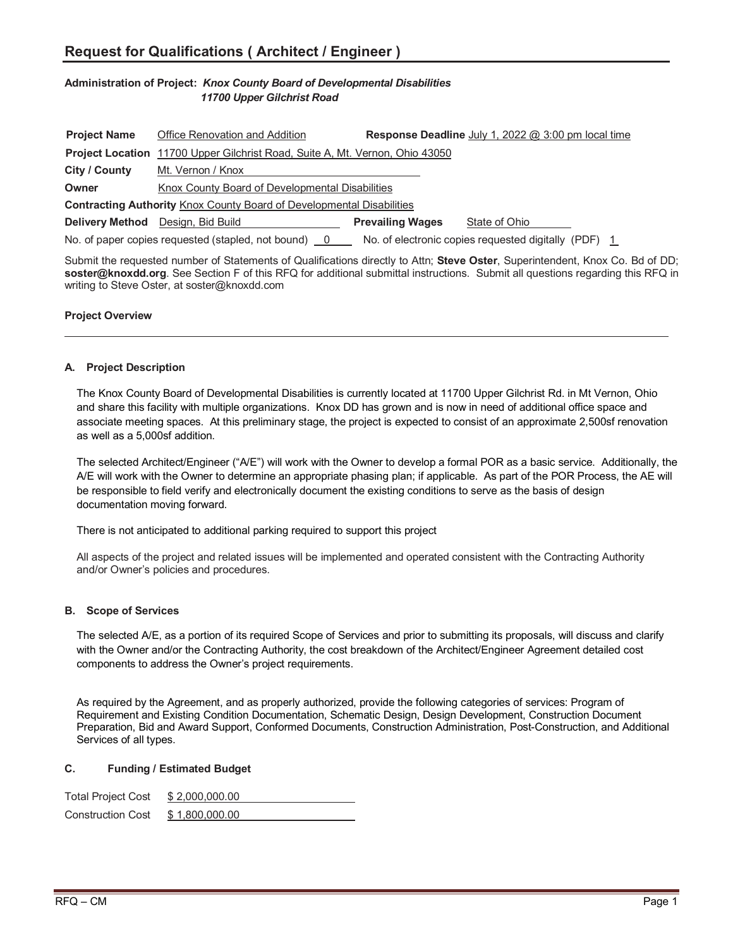# **Administration of Project:** *Knox County Board of Developmental Disabilities 11700 Upper Gilchrist Road*

| <b>Project Name</b>                                                                                          | Office Renovation and Addition                                                      |                         | <b>Response Deadline</b> July 1, 2022 $@$ 3:00 pm local time |  |
|--------------------------------------------------------------------------------------------------------------|-------------------------------------------------------------------------------------|-------------------------|--------------------------------------------------------------|--|
|                                                                                                              | <b>Project Location</b> 11700 Upper Gilchrist Road, Suite A, Mt. Vernon, Ohio 43050 |                         |                                                              |  |
| City / County                                                                                                | Mt. Vernon / Knox                                                                   |                         |                                                              |  |
| Owner                                                                                                        | Knox County Board of Developmental Disabilities                                     |                         |                                                              |  |
| <b>Contracting Authority Knox County Board of Developmental Disabilities</b>                                 |                                                                                     |                         |                                                              |  |
| <b>Delivery Method</b>                                                                                       | Design, Bid Build                                                                   | <b>Prevailing Wages</b> | State of Ohio                                                |  |
| No. of electronic copies requested digitally (PDF) 1<br>No. of paper copies requested (stapled, not bound) 0 |                                                                                     |                         |                                                              |  |

Submit the requested number of Statements of Qualifications directly to Attn; **Steve Oster**, Superintendent, Knox Co. Bd of DD; **soster@knoxdd.org**. See Section F of this RFQ for additional submittal instructions. Submit all questions regarding this RFQ in writing to Steve Oster, at soster@knoxdd.com

### **Project Overview**

#### **A. Project Description**

The Knox County Board of Developmental Disabilities is currently located at 11700 Upper Gilchrist Rd. in Mt Vernon, Ohio and share this facility with multiple organizations. Knox DD has grown and is now in need of additional office space and associate meeting spaces. At this preliminary stage, the project is expected to consist of an approximate 2,500sf renovation as well as a 5,000sf addition.

The selected Architect/Engineer ("A/E") will work with the Owner to develop a formal POR as a basic service. Additionally, the A/E will work with the Owner to determine an appropriate phasing plan; if applicable. As part of the POR Process, the AE will be responsible to field verify and electronically document the existing conditions to serve as the basis of design documentation moving forward.

There is not anticipated to additional parking required to support this project

All aspects of the project and related issues will be implemented and operated consistent with the Contracting Authority and/or Owner's policies and procedures.

### **B. Scope of Services**

The selected A/E, as a portion of its required Scope of Services and prior to submitting its proposals, will discuss and clarify with the Owner and/or the Contracting Authority, the cost breakdown of the Architect/Engineer Agreement detailed cost components to address the Owner's project requirements.

As required by the Agreement, and as properly authorized, provide the following categories of services: Program of Requirement and Existing Condition Documentation, Schematic Design, Design Development, Construction Document Preparation, Bid and Award Support, Conformed Documents, Construction Administration, Post-Construction, and Additional Services of all types.

#### **C. Funding / Estimated Budget**

| <b>Total Project Cost</b> | \$2,000,000.00 |
|---------------------------|----------------|
| <b>Construction Cost</b>  | \$1,800,000.00 |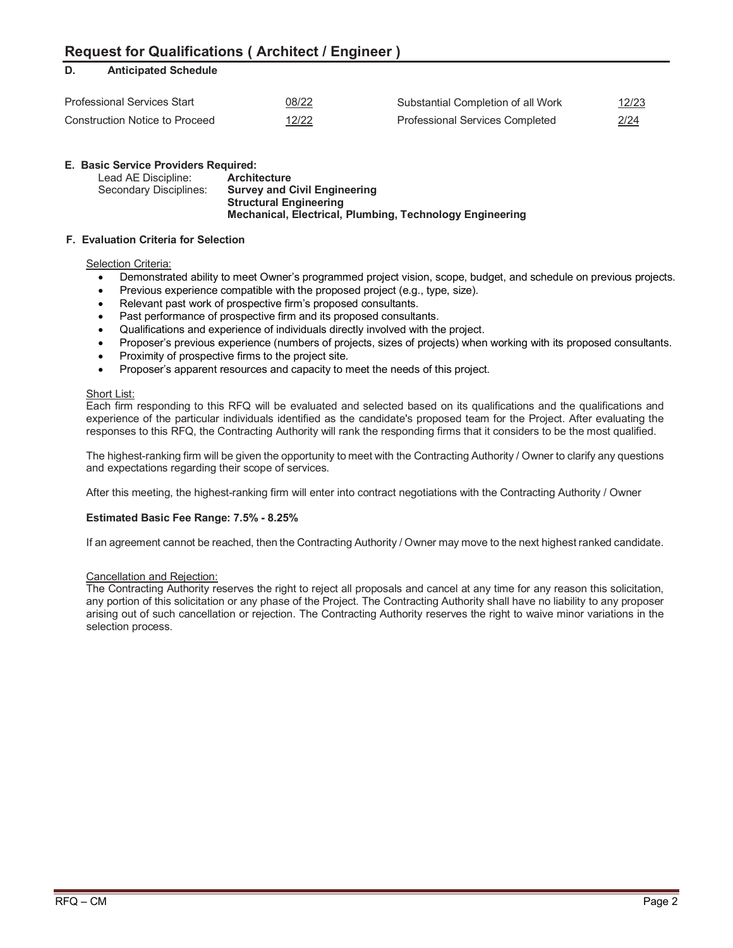# **D. Anticipated Schedule**

| <b>Professional Services Start</b> | 08/22                                                      | Substantial Completion of all Work     | <u>12/23</u>  |
|------------------------------------|------------------------------------------------------------|----------------------------------------|---------------|
| Construction Notice to Proceed     | 12/22<br><u> The Communication of the Communication of</u> | <b>Professional Services Completed</b> | 2/24<br>_____ |

# **E. Basic Service Providers Required:**

| Lead AE Discipline:    | <b>Architecture</b>                                      |
|------------------------|----------------------------------------------------------|
| Secondary Disciplines: | <b>Survey and Civil Engineering</b>                      |
|                        | <b>Structural Engineering</b>                            |
|                        | Mechanical, Electrical, Plumbing, Technology Engineering |

### **F. Evaluation Criteria for Selection**

#### **Selection Criteria:**

- Demonstrated ability to meet Owner's programmed project vision, scope, budget, and schedule on previous projects.
- Previous experience compatible with the proposed project (e.g., type, size).
- Relevant past work of prospective firm's proposed consultants.
- Past performance of prospective firm and its proposed consultants.
- Qualifications and experience of individuals directly involved with the project.
- Proposer's previous experience (numbers of projects, sizes of projects) when working with its proposed consultants.
- Proximity of prospective firms to the project site.
- Proposer's apparent resources and capacity to meet the needs of this project.

#### Short List:

Each firm responding to this RFQ will be evaluated and selected based on its qualifications and the qualifications and experience of the particular individuals identified as the candidate's proposed team for the Project. After evaluating the responses to this RFQ, the Contracting Authority will rank the responding firms that it considers to be the most qualified.

The highest-ranking firm will be given the opportunity to meet with the Contracting Authority / Owner to clarify any questions and expectations regarding their scope of services.

After this meeting, the highest-ranking firm will enter into contract negotiations with the Contracting Authority / Owner

### **Estimated Basic Fee Range: 7.5% - 8.25%**

If an agreement cannot be reached, then the Contracting Authority / Owner may move to the next highest ranked candidate.

### Cancellation and Rejection:

The Contracting Authority reserves the right to reject all proposals and cancel at any time for any reason this solicitation, any portion of this solicitation or any phase of the Project. The Contracting Authority shall have no liability to any proposer arising out of such cancellation or rejection. The Contracting Authority reserves the right to waive minor variations in the selection process.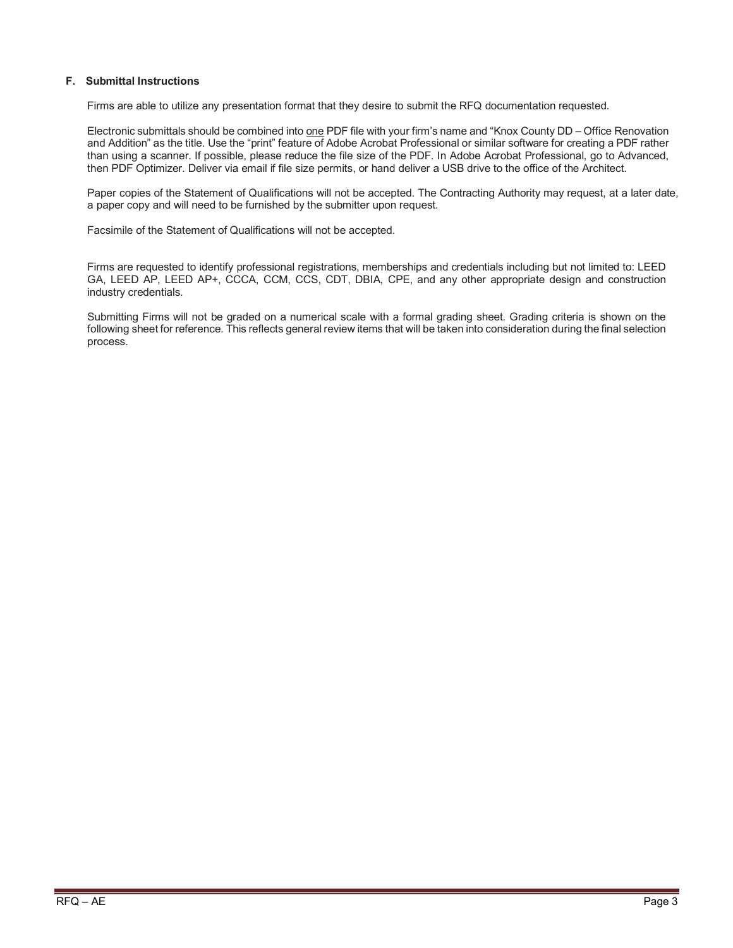#### **F. Submittal Instructions**

Firms are able to utilize any presentation format that they desire to submit the RFQ documentation requested.

Electronic submittals should be combined into one PDF file with your firm's name and "Knox County DD – Office Renovation and Addition" as the title. Use the "print" feature of Adobe Acrobat Professional or similar software for creating a PDF rather than using a scanner. If possible, please reduce the file size of the PDF. In Adobe Acrobat Professional, go to Advanced, then PDF Optimizer. Deliver via email if file size permits, or hand deliver a USB drive to the office of the Architect.

Paper copies of the Statement of Qualifications will not be accepted. The Contracting Authority may request, at a later date, a paper copy and will need to be furnished by the submitter upon request.

Facsimile of the Statement of Qualifications will not be accepted.

Firms are requested to identify professional registrations, memberships and credentials including but not limited to: LEED GA, LEED AP, LEED AP+, CCCA, CCM, CCS, CDT, DBIA, CPE, and any other appropriate design and construction industry credentials.

Submitting Firms will not be graded on a numerical scale with a formal grading sheet. Grading criteria is shown on the following sheet for reference. This reflects general review items that will be taken into consideration during the final selection process.